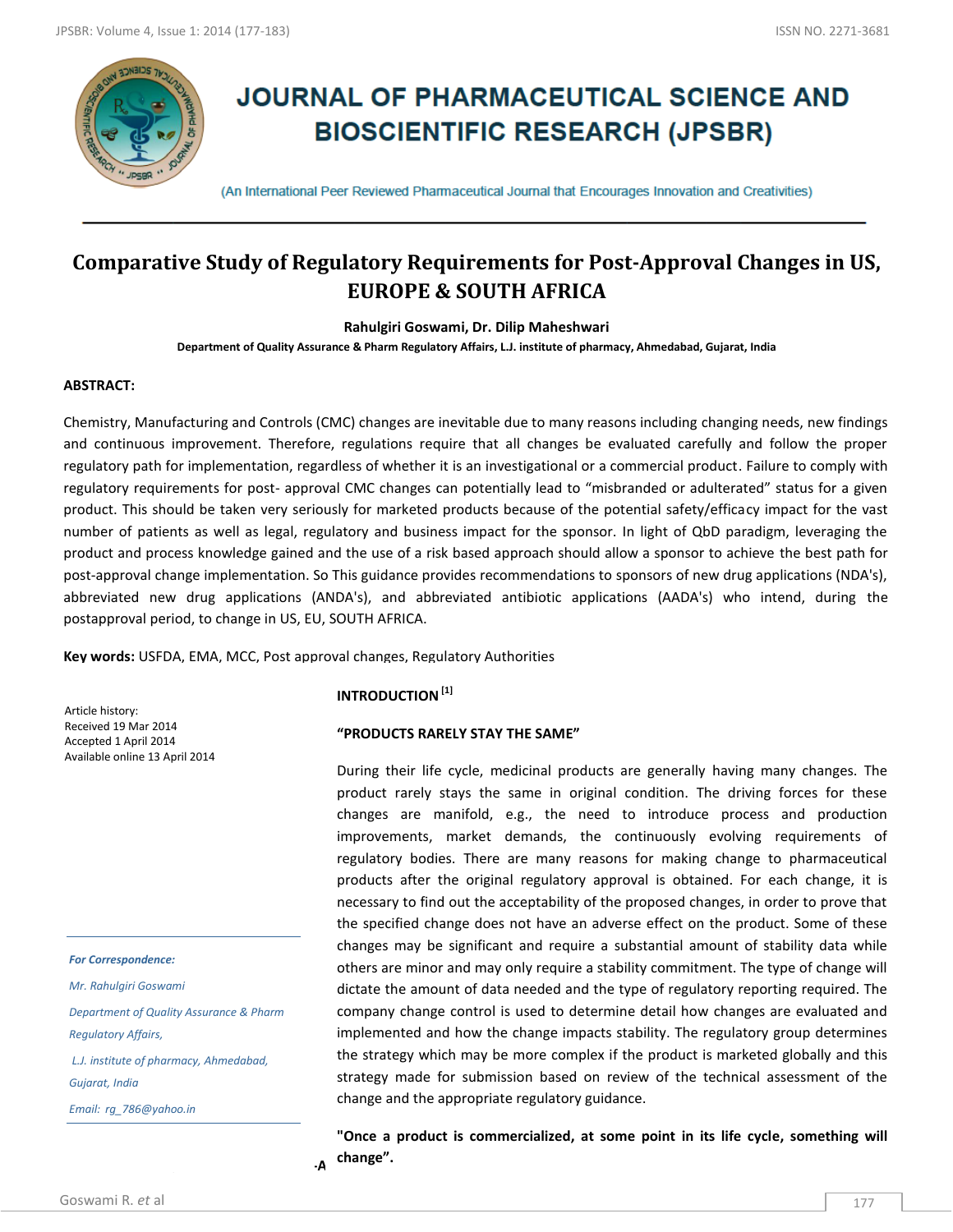

# **JOURNAL OF PHARMACEUTICAL SCIENCE AND BIOSCIENTIFIC RESEARCH (JPSBR)**

(An International Peer Reviewed Pharmaceutical Journal that Encourages Innovation and Creativities)

# **Comparative Study of Regulatory Requirements for Post-Approval Changes in US, EUROPE & SOUTH AFRICA**

**Rahulgiri Goswami, Dr. Dilip Maheshwari**

**Department of Quality Assurance & Pharm Regulatory Affairs, L.J. institute of pharmacy, Ahmedabad, Gujarat, India**

#### **ABSTRACT:**

Chemistry, Manufacturing and Controls (CMC) changes are inevitable due to many reasons including changing needs, new findings and continuous improvement. Therefore, regulations require that all changes be evaluated carefully and follow the proper regulatory path for implementation, regardless of whether it is an investigational or a commercial product. Failure to comply with regulatory requirements for post- approval CMC changes can potentially lead to "misbranded or adulterated" status for a given product. This should be taken very seriously for marketed products because of the potential safety/efficacy impact for the vast number of patients as well as legal, regulatory and business impact for the sponsor. In light of QbD paradigm, leveraging the product and process knowledge gained and the use of a risk based approach should allow a sponsor to achieve the best path for post-approval change implementation. So This guidance provides recommendations to sponsors of new drug applications (NDA's), abbreviated new drug applications (ANDA's), and abbreviated antibiotic applications (AADA's) who intend, during the postapproval period, to change in US, EU, SOUTH AFRICA.

**Key words:** USFDA, EMA, MCC, Post approval changes, Regulatory Authorities

Article history: Received 19 Mar 2014 Accepted 1 April 2014 Available online 13 April 2014

#### *For Correspondence:*

*Mr. Rahulgiri Goswami Department of Quality Assurance & Pharm Regulatory Affairs, L.J. institute of pharmacy, Ahmedabad,* 

*Gujarat, India*

(www.jpsbr.org)

*Email: rg\_786@yahoo.in*

#### **INTRODUCTION[1]**

# **"PRODUCTS RARELY STAY THE SAME"**

During their life cycle, medicinal products are generally having many changes. The product rarely stays the same in original condition. The driving forces for these changes are manifold, e.g., the need to introduce process and production improvements, market demands, the continuously evolving requirements of regulatory bodies. There are many reasons for making change to pharmaceutical products after the original regulatory approval is obtained. For each change, it is necessary to find out the acceptability of the proposed changes, in order to prove that the specified change does not have an adverse effect on the product. Some of these changes may be significant and require a substantial amount of stability data while others are minor and may only require a stability commitment. The type of change will dictate the amount of data needed and the type of regulatory reporting required. The company change control is used to determine detail how changes are evaluated and implemented and how the change impacts stability. The regulatory group determines the strategy which may be more complex if the product is marketed globally and this strategy made for submission based on review of the technical assessment of the change and the appropriate regulatory guidance.

**REGULATORS REGULATORS ON POST-APPROX "Once a product is commercialized, at some point in its life cycle, something will change".**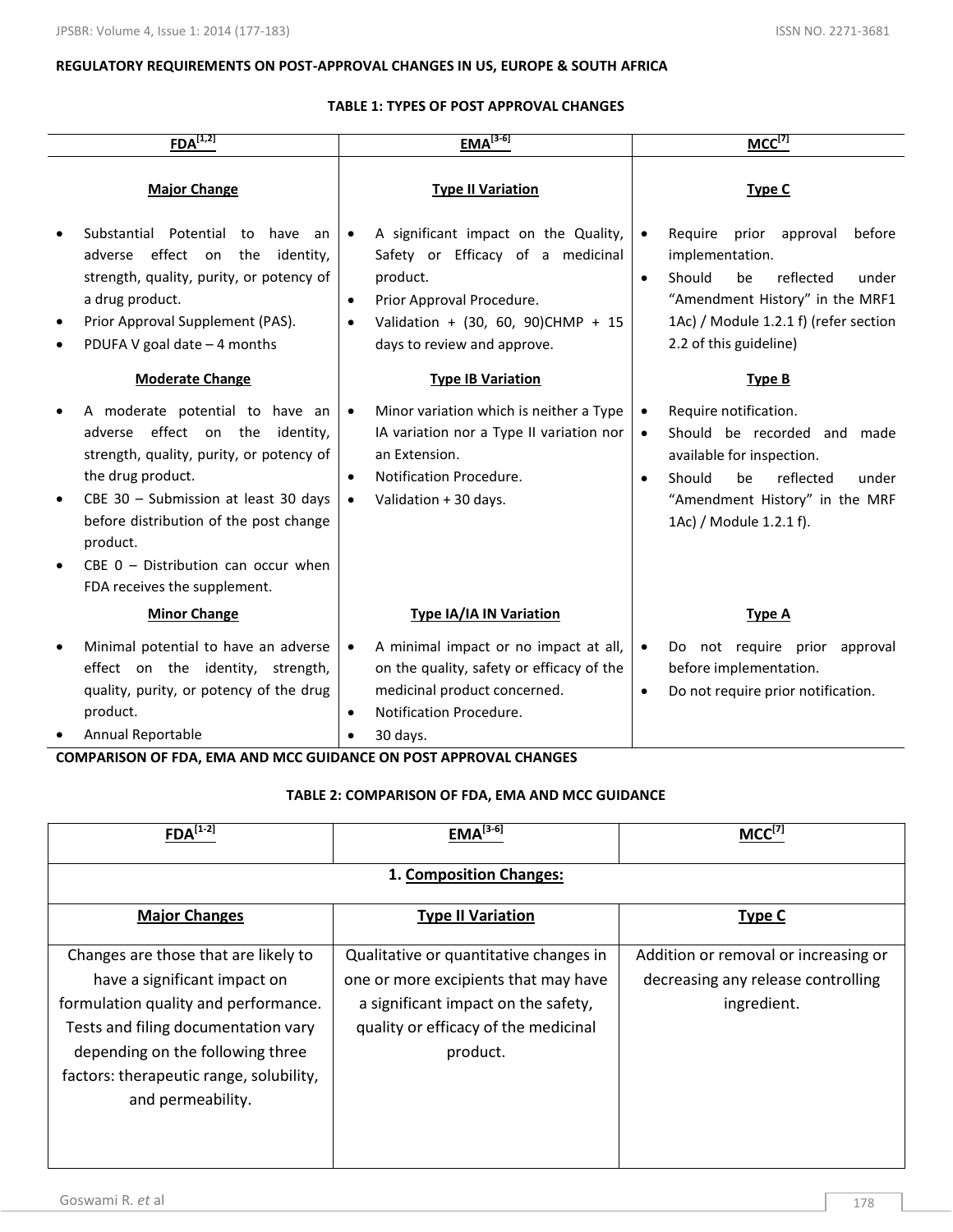### **REGULATORY REQUIREMENTS ON POST-APPROVAL CHANGES IN US, EUROPE & SOUTH AFRICA**

#### **TABLE 1: TYPES OF POST APPROVAL CHANGES**

| $FDA^{[1,2]}$                                                                                                                                                                                                                                                                                                 | $EMA^{[3-6]}$                                                                                                                                                                                                                  | $MCC^{[7]}$                                                                                                                                                                                                                     |
|---------------------------------------------------------------------------------------------------------------------------------------------------------------------------------------------------------------------------------------------------------------------------------------------------------------|--------------------------------------------------------------------------------------------------------------------------------------------------------------------------------------------------------------------------------|---------------------------------------------------------------------------------------------------------------------------------------------------------------------------------------------------------------------------------|
| <b>Major Change</b>                                                                                                                                                                                                                                                                                           | <b>Type II Variation</b>                                                                                                                                                                                                       | Type C                                                                                                                                                                                                                          |
| Substantial Potential<br>to<br>have<br>an<br>effect on<br>the<br>identity,<br>adverse<br>strength, quality, purity, or potency of<br>a drug product.<br>Prior Approval Supplement (PAS).<br>PDUFA V goal date $-4$ months                                                                                     | A significant impact on the Quality,<br>$\bullet$<br>Safety or Efficacy of a medicinal<br>product.<br>Prior Approval Procedure.<br>$\bullet$<br>Validation + (30, 60, 90)CHMP + 15<br>$\bullet$<br>days to review and approve. | Require<br>prior<br>approval<br>before<br>$\bullet$<br>implementation.<br>Should<br>be<br>reflected<br>under<br>$\bullet$<br>"Amendment History" in the MRF1<br>1Ac) / Module 1.2.1 f) (refer section<br>2.2 of this guideline) |
| <b>Moderate Change</b>                                                                                                                                                                                                                                                                                        | <b>Type IB Variation</b>                                                                                                                                                                                                       | <b>Type B</b>                                                                                                                                                                                                                   |
| A moderate potential to have an<br>adverse effect on the<br>identity,<br>strength, quality, purity, or potency of<br>the drug product.<br>CBE 30 - Submission at least 30 days<br>before distribution of the post change<br>product.<br>CBE $0$ – Distribution can occur when<br>FDA receives the supplement. | Minor variation which is neither a Type<br>$\bullet$<br>IA variation nor a Type II variation nor<br>an Extension.<br>Notification Procedure.<br>$\bullet$<br>Validation + 30 days.<br>$\bullet$                                | Require notification.<br>$\bullet$<br>Should be recorded and<br>$\bullet$<br>made<br>available for inspection.<br>Should<br>he<br>reflected<br>under<br>$\bullet$<br>"Amendment History" in the MRF<br>1Ac) / Module 1.2.1 f).  |
| <b>Minor Change</b>                                                                                                                                                                                                                                                                                           | <b>Type IA/IA IN Variation</b>                                                                                                                                                                                                 | <b>Type A</b>                                                                                                                                                                                                                   |
| Minimal potential to have an adverse<br>effect on the identity, strength,<br>quality, purity, or potency of the drug<br>product.<br>Annual Reportable                                                                                                                                                         | A minimal impact or no impact at all,<br>$\bullet$<br>on the quality, safety or efficacy of the<br>medicinal product concerned.<br>Notification Procedure.<br>$\bullet$<br>30 days.<br>$\bullet$                               | Do not require prior approval<br>$\bullet$<br>before implementation.<br>Do not require prior notification.<br>$\bullet$                                                                                                         |

## **COMPARISON OF FDA, EMA AND MCC GUIDANCE ON POST APPROVAL CHANGES**

# **TABLE 2: COMPARISON OF FDA, EMA AND MCC GUIDANCE**

| $FDA^{[1-2]}$                           | $EMA^{[3-6]}$                          | $MCC^{[7]}$                          |
|-----------------------------------------|----------------------------------------|--------------------------------------|
|                                         |                                        |                                      |
|                                         | 1. Composition Changes:                |                                      |
|                                         |                                        |                                      |
| <b>Major Changes</b>                    | <b>Type II Variation</b>               | <b>Type C</b>                        |
|                                         |                                        |                                      |
| Changes are those that are likely to    | Qualitative or quantitative changes in | Addition or removal or increasing or |
| have a significant impact on            | one or more excipients that may have   | decreasing any release controlling   |
| formulation quality and performance.    | a significant impact on the safety,    | ingredient.                          |
| Tests and filing documentation vary     | quality or efficacy of the medicinal   |                                      |
| depending on the following three        | product.                               |                                      |
|                                         |                                        |                                      |
| factors: therapeutic range, solubility, |                                        |                                      |
| and permeability.                       |                                        |                                      |
|                                         |                                        |                                      |
|                                         |                                        |                                      |
|                                         |                                        |                                      |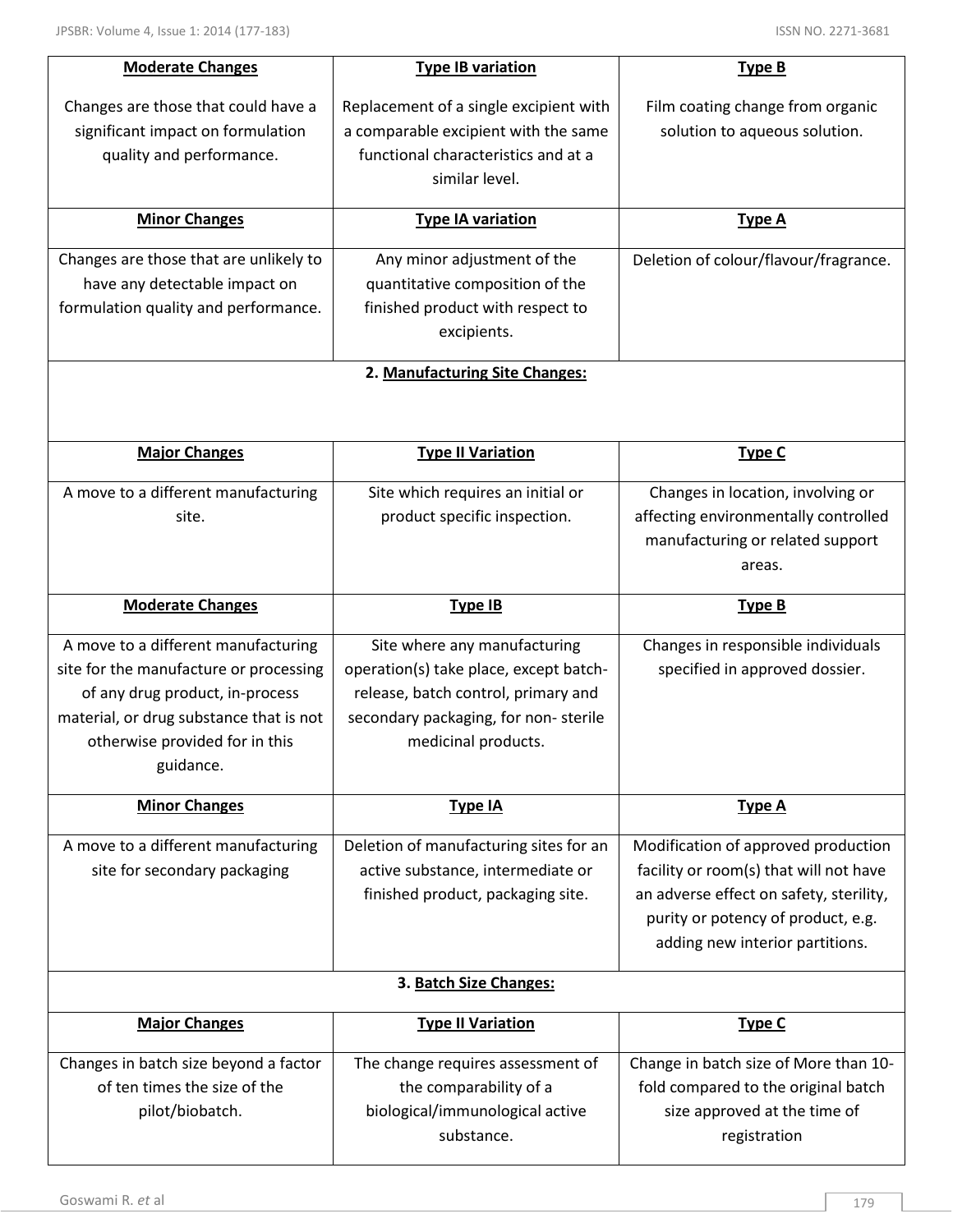| <b>Moderate Changes</b>                 | <b>Type IB variation</b>               | <b>Type B</b>                           |
|-----------------------------------------|----------------------------------------|-----------------------------------------|
| Changes are those that could have a     | Replacement of a single excipient with | Film coating change from organic        |
| significant impact on formulation       | a comparable excipient with the same   | solution to aqueous solution.           |
| quality and performance.                | functional characteristics and at a    |                                         |
|                                         | similar level.                         |                                         |
|                                         |                                        |                                         |
| <b>Minor Changes</b>                    | <b>Type IA variation</b>               | <b>Type A</b>                           |
| Changes are those that are unlikely to  | Any minor adjustment of the            | Deletion of colour/flavour/fragrance.   |
| have any detectable impact on           | quantitative composition of the        |                                         |
| formulation quality and performance.    | finished product with respect to       |                                         |
|                                         | excipients.                            |                                         |
|                                         | 2. Manufacturing Site Changes:         |                                         |
|                                         |                                        |                                         |
|                                         |                                        |                                         |
| <b>Major Changes</b>                    | <b>Type II Variation</b>               | <b>Type C</b>                           |
|                                         |                                        |                                         |
| A move to a different manufacturing     | Site which requires an initial or      | Changes in location, involving or       |
| site.                                   | product specific inspection.           | affecting environmentally controlled    |
|                                         |                                        | manufacturing or related support        |
|                                         |                                        | areas.                                  |
| <b>Moderate Changes</b>                 | <b>Type IB</b>                         | <b>Type B</b>                           |
|                                         |                                        |                                         |
|                                         |                                        |                                         |
| A move to a different manufacturing     | Site where any manufacturing           | Changes in responsible individuals      |
| site for the manufacture or processing  | operation(s) take place, except batch- | specified in approved dossier.          |
| of any drug product, in-process         | release, batch control, primary and    |                                         |
| material, or drug substance that is not | secondary packaging, for non-sterile   |                                         |
| otherwise provided for in this          | medicinal products.                    |                                         |
| guidance.                               |                                        |                                         |
| <b>Minor Changes</b>                    | <b>Type IA</b>                         | <b>Type A</b>                           |
| A move to a different manufacturing     | Deletion of manufacturing sites for an | Modification of approved production     |
| site for secondary packaging            | active substance, intermediate or      | facility or room(s) that will not have  |
|                                         | finished product, packaging site.      | an adverse effect on safety, sterility, |
|                                         |                                        | purity or potency of product, e.g.      |
|                                         |                                        | adding new interior partitions.         |
|                                         | 3. Batch Size Changes:                 |                                         |
|                                         |                                        |                                         |
| <b>Major Changes</b>                    | <b>Type II Variation</b>               | <b>Type C</b>                           |
| Changes in batch size beyond a factor   | The change requires assessment of      | Change in batch size of More than 10-   |
| of ten times the size of the            | the comparability of a                 | fold compared to the original batch     |
| pilot/biobatch.                         | biological/immunological active        | size approved at the time of            |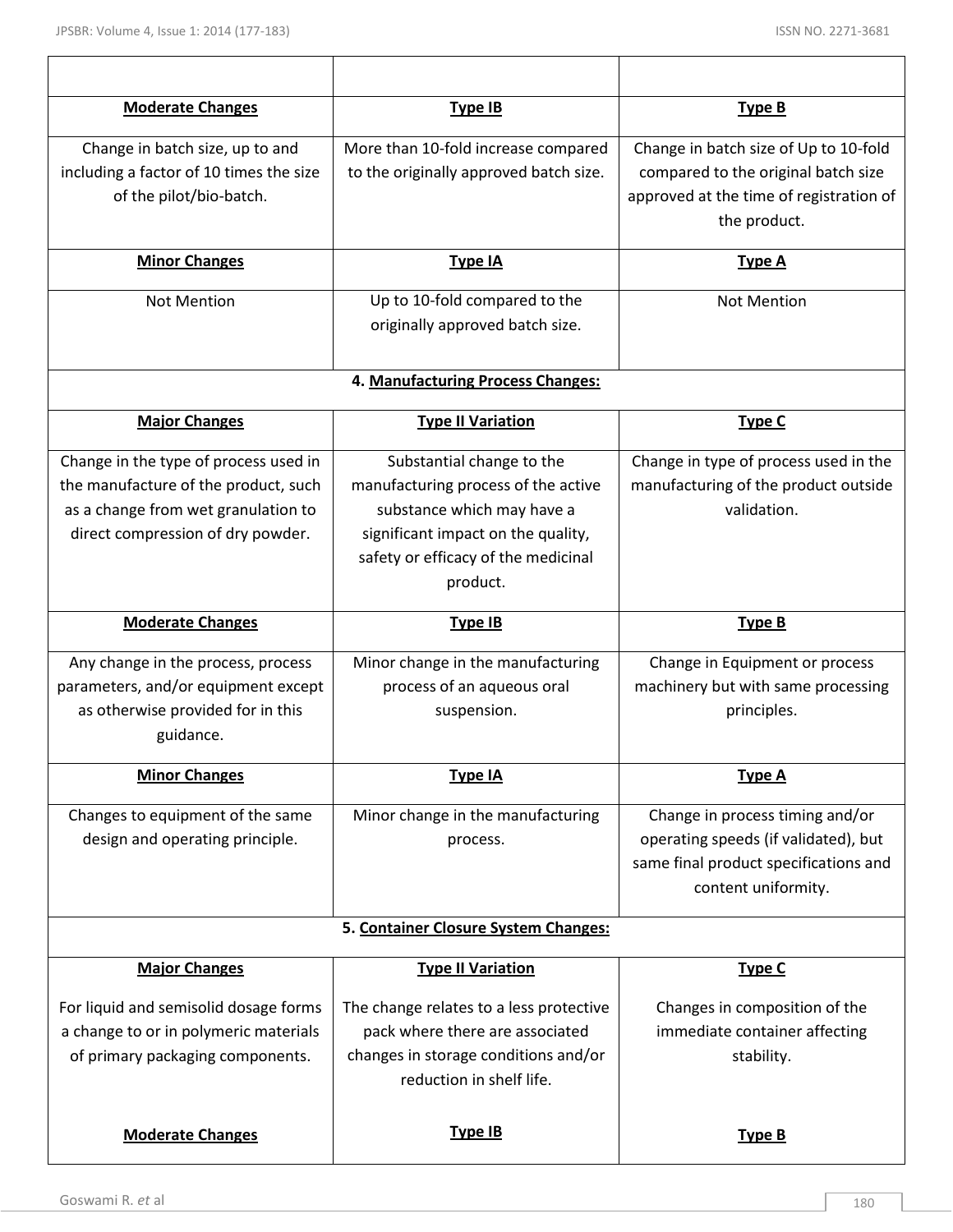| <b>Moderate Changes</b>                                                        | Type IB                                                                    | Type B                                                                  |
|--------------------------------------------------------------------------------|----------------------------------------------------------------------------|-------------------------------------------------------------------------|
| Change in batch size, up to and                                                | More than 10-fold increase compared                                        | Change in batch size of Up to 10-fold                                   |
| including a factor of 10 times the size                                        | to the originally approved batch size.                                     | compared to the original batch size                                     |
| of the pilot/bio-batch.                                                        |                                                                            | approved at the time of registration of                                 |
|                                                                                |                                                                            | the product.                                                            |
| <b>Minor Changes</b>                                                           | Type IA                                                                    | <b>Type A</b>                                                           |
| <b>Not Mention</b>                                                             | Up to 10-fold compared to the                                              | <b>Not Mention</b>                                                      |
|                                                                                | originally approved batch size.                                            |                                                                         |
|                                                                                | 4. Manufacturing Process Changes:                                          |                                                                         |
|                                                                                |                                                                            |                                                                         |
| <b>Major Changes</b>                                                           | <b>Type II Variation</b>                                                   | <b>Type C</b>                                                           |
| Change in the type of process used in                                          | Substantial change to the                                                  | Change in type of process used in the                                   |
| the manufacture of the product, such                                           | manufacturing process of the active                                        | manufacturing of the product outside                                    |
| as a change from wet granulation to                                            | substance which may have a                                                 | validation.                                                             |
| direct compression of dry powder.                                              | significant impact on the quality,<br>safety or efficacy of the medicinal  |                                                                         |
|                                                                                | product.                                                                   |                                                                         |
|                                                                                |                                                                            |                                                                         |
|                                                                                |                                                                            |                                                                         |
| <b>Moderate Changes</b>                                                        | <b>Type IB</b>                                                             | <b>Type B</b>                                                           |
| Any change in the process, process                                             | Minor change in the manufacturing                                          | Change in Equipment or process                                          |
| parameters, and/or equipment except                                            | process of an aqueous oral                                                 | machinery but with same processing                                      |
| as otherwise provided for in this                                              | suspension.                                                                | principles.                                                             |
| guidance.                                                                      |                                                                            |                                                                         |
| <b>Minor Changes</b>                                                           | <b>Type IA</b>                                                             | <b>Type A</b>                                                           |
|                                                                                |                                                                            |                                                                         |
| Changes to equipment of the same<br>design and operating principle.            | Minor change in the manufacturing<br>process.                              | Change in process timing and/or<br>operating speeds (if validated), but |
|                                                                                |                                                                            | same final product specifications and                                   |
|                                                                                |                                                                            | content uniformity.                                                     |
|                                                                                | 5. Container Closure System Changes:                                       |                                                                         |
| <b>Major Changes</b>                                                           | <b>Type II Variation</b>                                                   | <b>Type C</b>                                                           |
|                                                                                |                                                                            |                                                                         |
| For liquid and semisolid dosage forms<br>a change to or in polymeric materials | The change relates to a less protective<br>pack where there are associated | Changes in composition of the<br>immediate container affecting          |
| of primary packaging components.                                               | changes in storage conditions and/or                                       | stability.                                                              |
|                                                                                | reduction in shelf life.                                                   |                                                                         |
|                                                                                |                                                                            |                                                                         |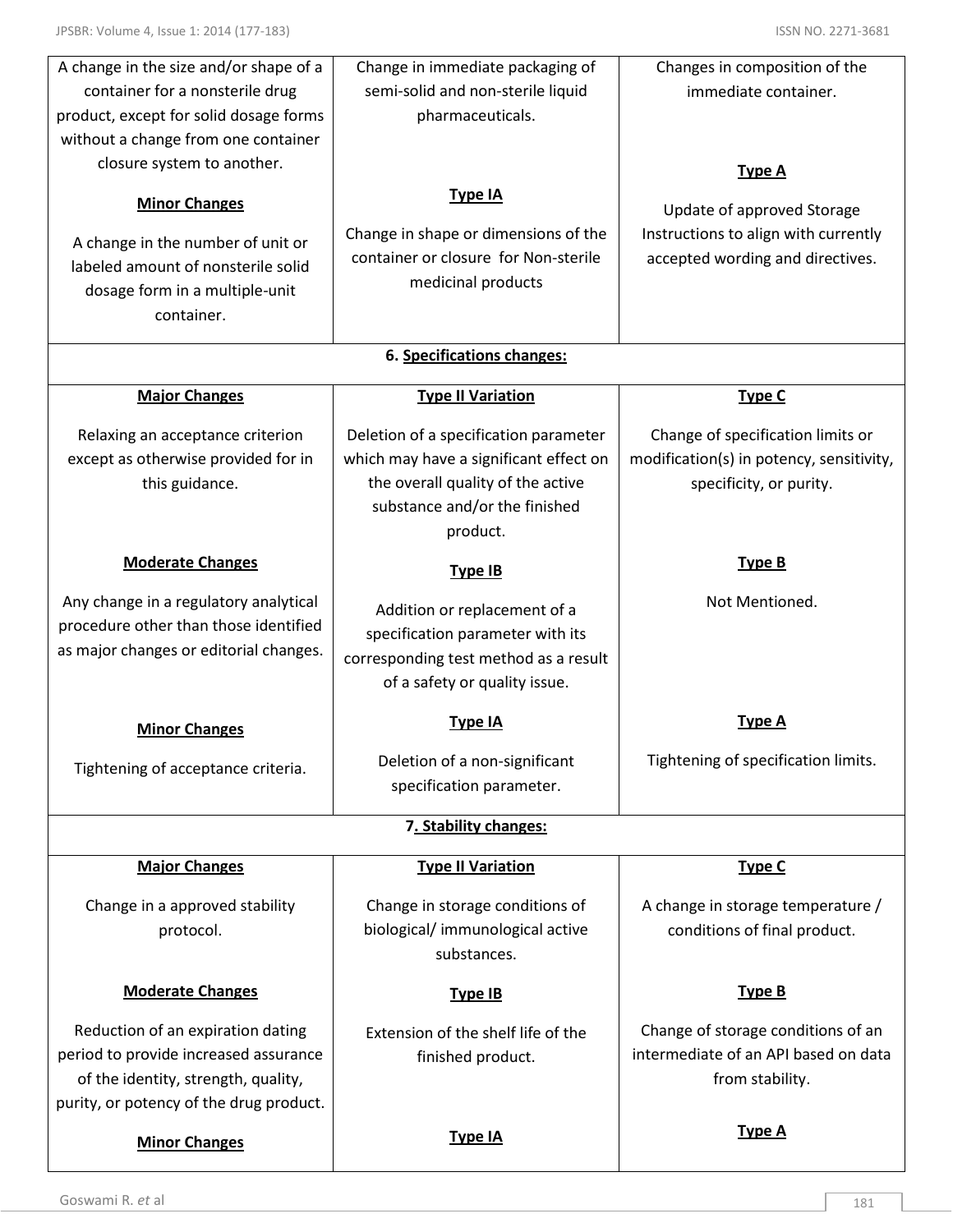| A change in the size and/or shape of a  | Change in immediate packaging of       | Changes in composition of the            |
|-----------------------------------------|----------------------------------------|------------------------------------------|
| container for a nonsterile drug         | semi-solid and non-sterile liquid      | immediate container.                     |
| product, except for solid dosage forms  | pharmaceuticals.                       |                                          |
| without a change from one container     |                                        |                                          |
| closure system to another.              |                                        | <b>Type A</b>                            |
| <b>Minor Changes</b>                    | <b>Type IA</b>                         |                                          |
|                                         |                                        | Update of approved Storage               |
| A change in the number of unit or       | Change in shape or dimensions of the   | Instructions to align with currently     |
| labeled amount of nonsterile solid      | container or closure for Non-sterile   | accepted wording and directives.         |
| dosage form in a multiple-unit          | medicinal products                     |                                          |
| container.                              |                                        |                                          |
|                                         | 6. Specifications changes:             |                                          |
| <b>Major Changes</b>                    | <b>Type II Variation</b>               | <b>Type C</b>                            |
|                                         |                                        |                                          |
| Relaxing an acceptance criterion        | Deletion of a specification parameter  | Change of specification limits or        |
| except as otherwise provided for in     | which may have a significant effect on | modification(s) in potency, sensitivity, |
| this guidance.                          | the overall quality of the active      | specificity, or purity.                  |
|                                         | substance and/or the finished          |                                          |
|                                         | product.                               |                                          |
| <b>Moderate Changes</b>                 | <b>Type IB</b>                         | <b>Type B</b>                            |
| Any change in a regulatory analytical   | Addition or replacement of a           | Not Mentioned.                           |
| procedure other than those identified   | specification parameter with its       |                                          |
| as major changes or editorial changes.  | corresponding test method as a result  |                                          |
|                                         | of a safety or quality issue.          |                                          |
|                                         |                                        |                                          |
| <b>Minor Changes</b>                    | Type IA                                | Tvpe A                                   |
| Tightening of acceptance criteria.      | Deletion of a non-significant          | Tightening of specification limits.      |
|                                         | specification parameter.               |                                          |
|                                         | 7. Stability changes:                  |                                          |
|                                         |                                        |                                          |
| <b>Major Changes</b>                    | <b>Type II Variation</b>               | <b>Type C</b>                            |
| Change in a approved stability          | Change in storage conditions of        | A change in storage temperature /        |
| protocol.                               | biological/immunological active        | conditions of final product.             |
|                                         | substances.                            |                                          |
| <b>Moderate Changes</b>                 | <b>Type IB</b>                         | <b>Type B</b>                            |
|                                         |                                        |                                          |
| Reduction of an expiration dating       | Extension of the shelf life of the     | Change of storage conditions of an       |
| period to provide increased assurance   | finished product.                      | intermediate of an API based on data     |
| of the identity, strength, quality,     |                                        | from stability.                          |
| purity, or potency of the drug product. |                                        |                                          |
| <b>Minor Changes</b>                    | <b>Type IA</b>                         | <b>Type A</b>                            |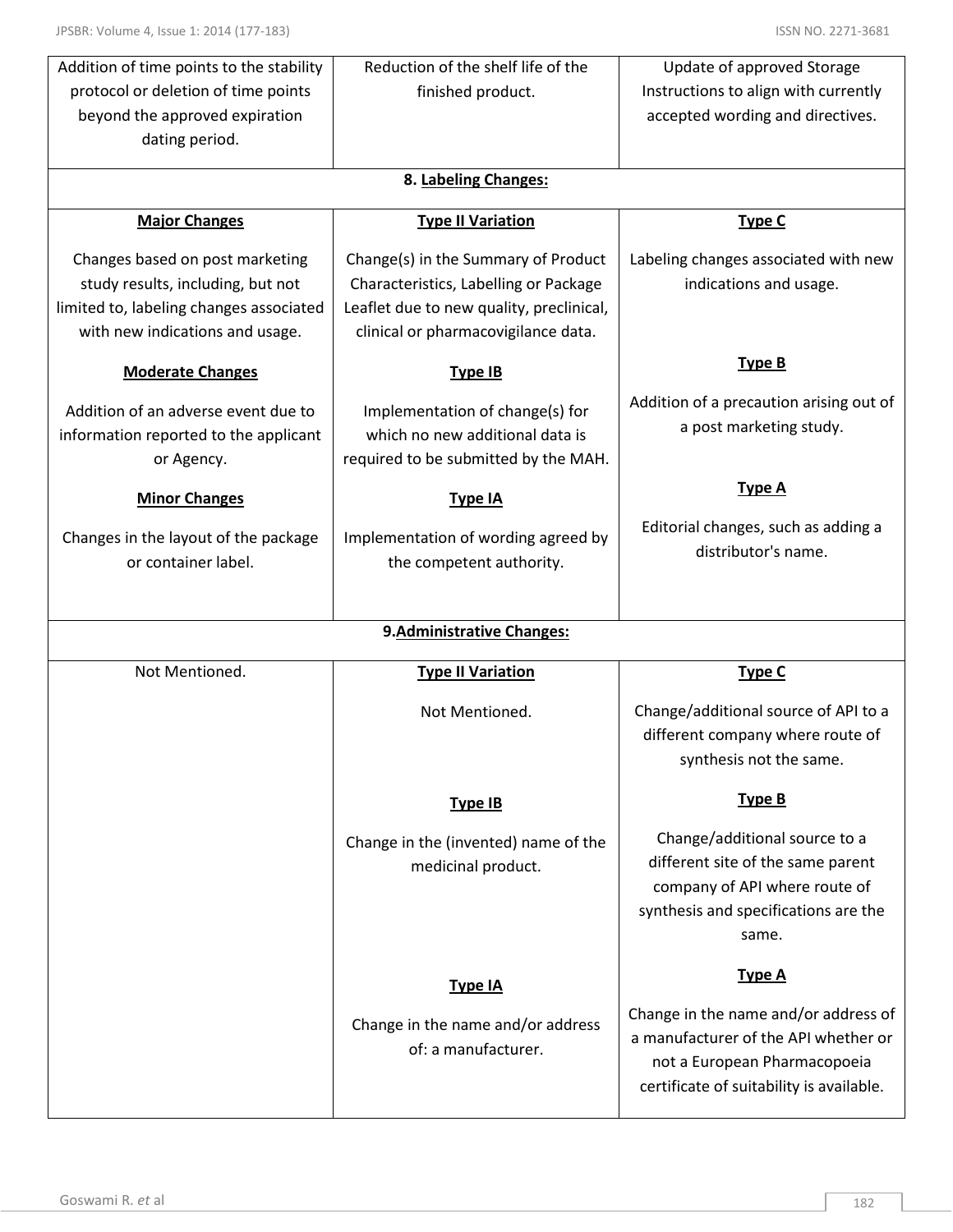| Addition of time points to the stability | Reduction of the shelf life of the       | Update of approved Storage                                               |
|------------------------------------------|------------------------------------------|--------------------------------------------------------------------------|
| protocol or deletion of time points      | finished product.                        | Instructions to align with currently                                     |
| beyond the approved expiration           |                                          | accepted wording and directives.                                         |
| dating period.                           |                                          |                                                                          |
|                                          | 8. Labeling Changes:                     |                                                                          |
|                                          |                                          |                                                                          |
| <b>Major Changes</b>                     | <b>Type II Variation</b>                 | Type C                                                                   |
| Changes based on post marketing          | Change(s) in the Summary of Product      | Labeling changes associated with new                                     |
| study results, including, but not        | Characteristics, Labelling or Package    | indications and usage.                                                   |
| limited to, labeling changes associated  | Leaflet due to new quality, preclinical, |                                                                          |
| with new indications and usage.          | clinical or pharmacovigilance data.      |                                                                          |
| <b>Moderate Changes</b>                  | Type IB                                  | <b>Type B</b>                                                            |
| Addition of an adverse event due to      | Implementation of change(s) for          | Addition of a precaution arising out of                                  |
| information reported to the applicant    | which no new additional data is          | a post marketing study.                                                  |
| or Agency.                               | required to be submitted by the MAH.     |                                                                          |
|                                          |                                          | <b>Type A</b>                                                            |
| <b>Minor Changes</b>                     | Type IA                                  |                                                                          |
| Changes in the layout of the package     | Implementation of wording agreed by      | Editorial changes, such as adding a                                      |
| or container label.                      | the competent authority.                 | distributor's name.                                                      |
|                                          |                                          |                                                                          |
|                                          |                                          |                                                                          |
|                                          |                                          |                                                                          |
|                                          | 9. Administrative Changes:               |                                                                          |
| Not Mentioned.                           | <b>Type II Variation</b>                 | <b>Type C</b>                                                            |
|                                          | Not Mentioned.                           |                                                                          |
|                                          |                                          | Change/additional source of API to a<br>different company where route of |
|                                          |                                          | synthesis not the same.                                                  |
|                                          | <b>Type IB</b>                           | <b>Type B</b>                                                            |
|                                          |                                          |                                                                          |
|                                          | Change in the (invented) name of the     | Change/additional source to a                                            |
|                                          | medicinal product.                       | different site of the same parent                                        |
|                                          |                                          | company of API where route of                                            |
|                                          |                                          | synthesis and specifications are the                                     |
|                                          |                                          | same.                                                                    |
|                                          | <b>Type IA</b>                           | <b>Type A</b>                                                            |
|                                          |                                          | Change in the name and/or address of                                     |
|                                          | Change in the name and/or address        | a manufacturer of the API whether or                                     |
|                                          | of: a manufacturer.                      | not a European Pharmacopoeia                                             |
|                                          |                                          | certificate of suitability is available.                                 |